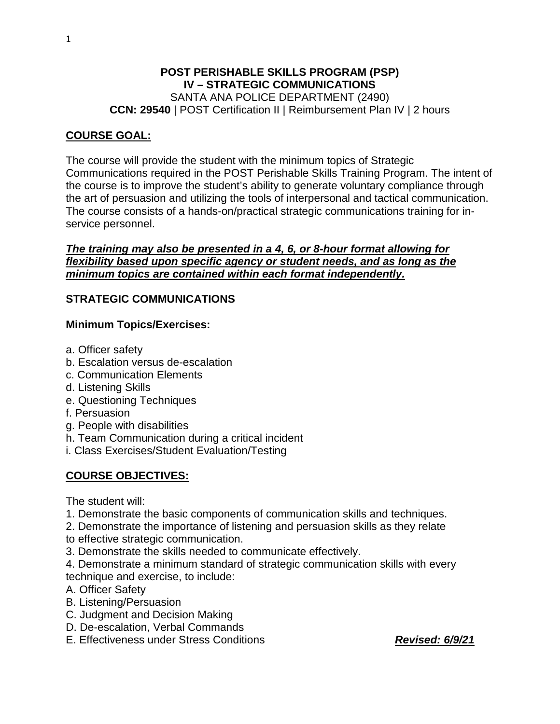#### **POST PERISHABLE SKILLS PROGRAM (PSP) IV – STRATEGIC COMMUNICATIONS** SANTA ANA POLICE DEPARTMENT (2490) **CCN: 29540** | POST Certification II | Reimbursement Plan IV | 2 hours

#### **COURSE GOAL:**

The course will provide the student with the minimum topics of Strategic Communications required in the POST Perishable Skills Training Program. The intent of the course is to improve the student's ability to generate voluntary compliance through the art of persuasion and utilizing the tools of interpersonal and tactical communication. The course consists of a hands-on/practical strategic communications training for inservice personnel.

### *The training may also be presented in a 4, 6, or 8-hour format allowing for flexibility based upon specific agency or student needs, and as long as the minimum topics are contained within each format independently.*

### **STRATEGIC COMMUNICATIONS**

#### **Minimum Topics/Exercises:**

- a. Officer safety
- b. Escalation versus de-escalation
- c. Communication Elements
- d. Listening Skills
- e. Questioning Techniques
- f. Persuasion
- g. People with disabilities
- h. Team Communication during a critical incident
- i. Class Exercises/Student Evaluation/Testing

# **COURSE OBJECTIVES:**

The student will:

- 1. Demonstrate the basic components of communication skills and techniques.
- 2. Demonstrate the importance of listening and persuasion skills as they relate
- to effective strategic communication.
- 3. Demonstrate the skills needed to communicate effectively.
- 4. Demonstrate a minimum standard of strategic communication skills with every technique and exercise, to include:
- A. Officer Safety
- B. Listening/Persuasion
- C. Judgment and Decision Making
- D. De-escalation, Verbal Commands
- E. Effectiveness under Stress Conditions *Revised: 6/9/21*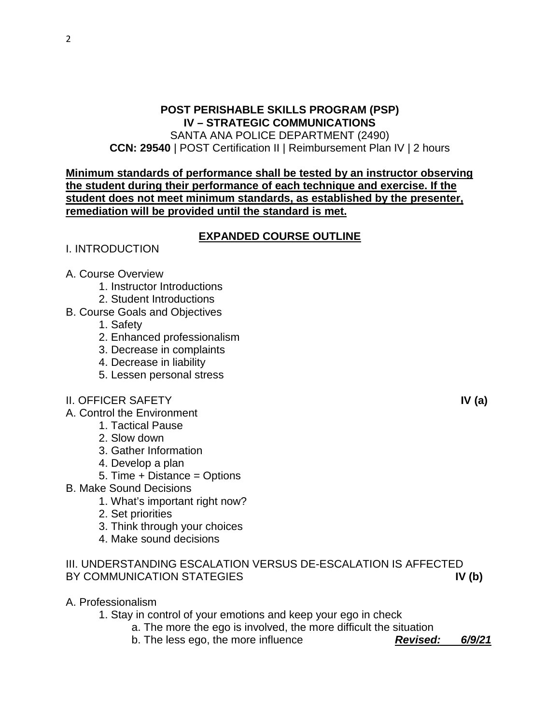# **POST PERISHABLE SKILLS PROGRAM (PSP) IV – STRATEGIC COMMUNICATIONS**

SANTA ANA POLICE DEPARTMENT (2490) **CCN: 29540** | POST Certification II | Reimbursement Plan IV | 2 hours

#### **Minimum standards of performance shall be tested by an instructor observing the student during their performance of each technique and exercise. If the student does not meet minimum standards, as established by the presenter, remediation will be provided until the standard is met.**

# **EXPANDED COURSE OUTLINE**

- I. INTRODUCTION
- A. Course Overview
	- 1. Instructor Introductions
	- 2. Student Introductions
- B. Course Goals and Objectives
	- 1. Safety
	- 2. Enhanced professionalism
	- 3. Decrease in complaints
	- 4. Decrease in liability
	- 5. Lessen personal stress
- II. OFFICER SAFETY **IV (a)**

A. Control the Environment

- 1. Tactical Pause
- 2. Slow down
- 3. Gather Information
- 4. Develop a plan
- 5. Time + Distance = Options
- B. Make Sound Decisions
	- 1. What's important right now?
	- 2. Set priorities
	- 3. Think through your choices
	- 4. Make sound decisions

# III. UNDERSTANDING ESCALATION VERSUS DE-ESCALATION IS AFFECTED BY COMMUNICATION STATEGIES **IV (b)**

A. Professionalism

1. Stay in control of your emotions and keep your ego in check

a. The more the ego is involved, the more difficult the situation

b. The less ego, the more influence *Revised: 6/9/21*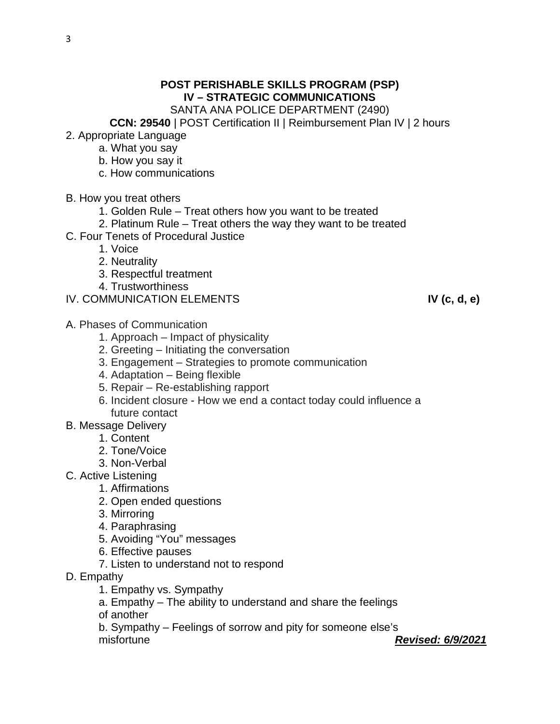# **POST PERISHABLE SKILLS PROGRAM (PSP) IV – STRATEGIC COMMUNICATIONS**

SANTA ANA POLICE DEPARTMENT (2490)

**CCN: 29540** | POST Certification II | Reimbursement Plan IV | 2 hours

- 2. Appropriate Language
	- a. What you say
	- b. How you say it
	- c. How communications
- B. How you treat others
	- 1. Golden Rule Treat others how you want to be treated
	- 2. Platinum Rule Treat others the way they want to be treated
- C. Four Tenets of Procedural Justice
	- 1. Voice
	- 2. Neutrality
	- 3. Respectful treatment
	- 4. Trustworthiness
- IV. COMMUNICATION ELEMENTS **IV (c, d, e)**
- A. Phases of Communication
	- 1. Approach Impact of physicality
	- 2. Greeting Initiating the conversation
	- 3. Engagement Strategies to promote communication
	- 4. Adaptation Being flexible
	- 5. Repair Re-establishing rapport
	- 6. Incident closure How we end a contact today could influence a future contact
- B. Message Delivery
	- 1. Content
	- 2. Tone/Voice
	- 3. Non-Verbal
- C. Active Listening
	- 1. Affirmations
	- 2. Open ended questions
	- 3. Mirroring
	- 4. Paraphrasing
	- 5. Avoiding "You" messages
	- 6. Effective pauses
	- 7. Listen to understand not to respond
- D. Empathy
	- 1. Empathy vs. Sympathy
	- a. Empathy The ability to understand and share the feelings
	- of another
	- b. Sympathy Feelings of sorrow and pity for someone else's
	-

misfortune *Revised: 6/9/2021*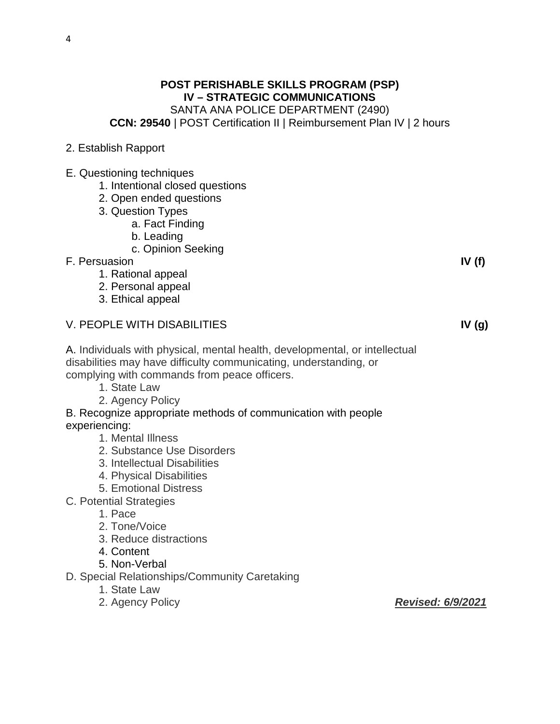# **POST PERISHABLE SKILLS PROGRAM (PSP) IV – STRATEGIC COMMUNICATIONS** SANTA ANA POLICE DEPARTMENT (2490) **CCN: 29540** | POST Certification II | Reimbursement Plan IV | 2 hours

- 2. Establish Rapport
- E. Questioning techniques
	- 1. Intentional closed questions
	- 2. Open ended questions
	- 3. Question Types
		- a. Fact Finding
		- b. Leading
		- c. Opinion Seeking
- F. Persuasion **IV (f)**
	- 1. Rational appeal
	- 2. Personal appeal
	- 3. Ethical appeal

### V. PEOPLE WITH DISABILITIES **IV (g)**

- A. Individuals with physical, mental health, developmental, or intellectual disabilities may have difficulty communicating, understanding, or complying with commands from peace officers.
	- 1. State Law
	- 2. Agency Policy

#### B. Recognize appropriate methods of communication with people experiencing:

- 1. Mental Illness
- 2. Substance Use Disorders
- 3. Intellectual Disabilities
- 4. Physical Disabilities
- 5. Emotional Distress
- C. Potential Strategies
	- 1. Pace
	- 2. Tone/Voice
	- 3. Reduce distractions
	- 4. Content
	- 5. Non-Verbal
- D. Special Relationships/Community Caretaking
	- 1. State Law
	-